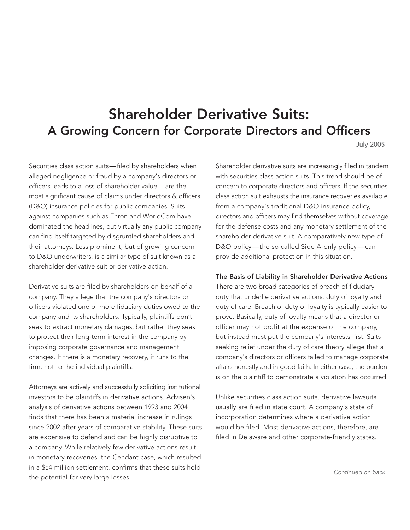## Shareholder Derivative Suits: A Growing Concern for Corporate Directors and Officers

July 2005

Securities class action suits—filed by shareholders when alleged negligence or fraud by a company's directors or officers leads to a loss of shareholder value—are the most significant cause of claims under directors & officers (D&O) insurance policies for public companies. Suits against companies such as Enron and WorldCom have dominated the headlines, but virtually any public company can find itself targeted by disgruntled shareholders and their attorneys. Less prominent, but of growing concern to D&O underwriters, is a similar type of suit known as a shareholder derivative suit or derivative action.

Derivative suits are filed by shareholders on behalf of a company. They allege that the company's directors or officers violated one or more fiduciary duties owed to the company and its shareholders. Typically, plaintiffs don't seek to extract monetary damages, but rather they seek to protect their long-term interest in the company by imposing corporate governance and management changes. If there is a monetary recovery, it runs to the firm, not to the individual plaintiffs.

Attorneys are actively and successfully soliciting institutional investors to be plaintiffs in derivative actions. Advisen's analysis of derivative actions between 1993 and 2004 finds that there has been a material increase in rulings since 2002 after years of comparative stability. These suits are expensive to defend and can be highly disruptive to a company. While relatively few derivative actions result in monetary recoveries, the Cendant case, which resulted in a \$54 million settlement, confirms that these suits hold the potential for very large losses.

Shareholder derivative suits are increasingly filed in tandem with securities class action suits. This trend should be of concern to corporate directors and officers. If the securities class action suit exhausts the insurance recoveries available from a company's traditional D&O insurance policy, directors and officers may find themselves without coverage for the defense costs and any monetary settlement of the shareholder derivative suit. A comparatively new type of D&O policy—the so called Side A-only policy—can provide additional protection in this situation.

## The Basis of Liability in Shareholder Derivative Actions

There are two broad categories of breach of fiduciary duty that underlie derivative actions: duty of loyalty and duty of care. Breach of duty of loyalty is typically easier to prove. Basically, duty of loyalty means that a director or officer may not profit at the expense of the company, but instead must put the company's interests first. Suits seeking relief under the duty of care theory allege that a company's directors or officers failed to manage corporate affairs honestly and in good faith. In either case, the burden is on the plaintiff to demonstrate a violation has occurred.

Unlike securities class action suits, derivative lawsuits usually are filed in state court. A company's state of incorporation determines where a derivative action would be filed. Most derivative actions, therefore, are filed in Delaware and other corporate-friendly states.

*Continued on back*